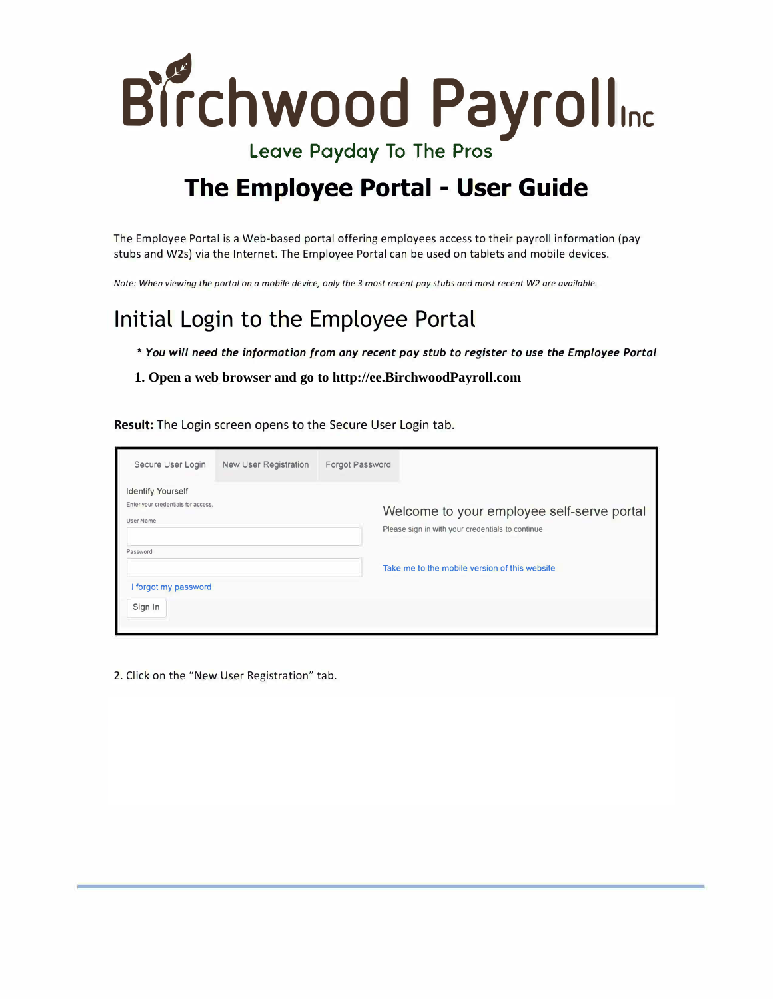

Leave Payday To The Pros

## **The Employee Portal - User Guide**

The Employee Portal is a Web-based portal offering employees access to their payroll information (pay stubs and W2s) via the Internet. The Employee Portal can be used on tablets and mobile devices.

*Note: When viewing the portal on o mobile device, only the 3 most recent pay stubs and most recent W2 are available.* 

## **Initial Login to the Employee Portal**

- *\* You will need the information from any recent pay stub to register to use the Employee Portal*
- **1. Open a web browser and go to http://ee.BirchwoodPayroll.com**

**Result:** The Login screen opens to the Secure User Login tab.

| Secure User Login                                                    | New User Registration | Forgot Password |                                                                                                |
|----------------------------------------------------------------------|-----------------------|-----------------|------------------------------------------------------------------------------------------------|
| Identify Yourself<br>Enter your credentials for access.<br>User Name |                       |                 | Welcome to your employee self-serve portal<br>Please sign in with your credentials to continue |
| Password<br>forgot my password                                       |                       |                 | Take me to the mobile version of this website                                                  |
| Sign In                                                              |                       |                 |                                                                                                |

2. Click on the "New User Registration" tab.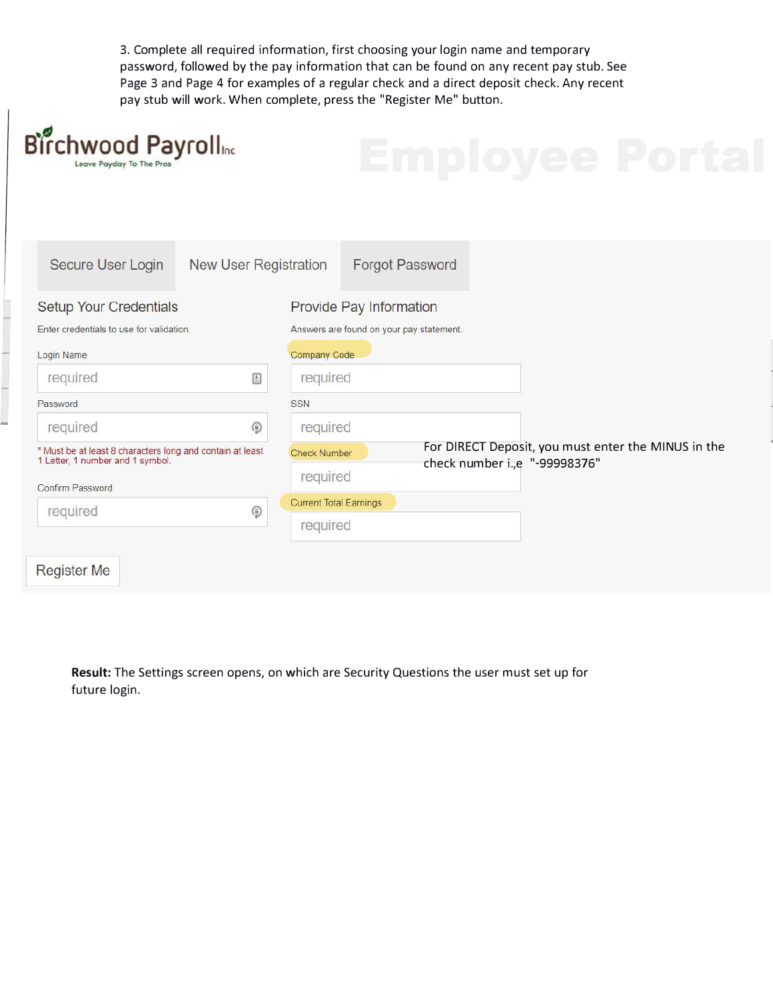3. Complete all required information, first choosing your login name and temporary password, followed by the pay information that can be found on any recent pay stub. See Page 3 and Page 4 for examples of a regular check and a direct deposit check. Any recent pay stub will work. When complete, press the "Register Me" button.

 $\overline{\phantom{a}}$ 

| Birchwood Payrolline<br>Leave Payday To The Pros                                                                  |                              |                               | ndiov                                               |
|-------------------------------------------------------------------------------------------------------------------|------------------------------|-------------------------------|-----------------------------------------------------|
| Secure User Login                                                                                                 | <b>New User Registration</b> |                               | <b>Forgot Password</b>                              |
| Setup Your Credentials                                                                                            |                              |                               | Provide Pay Information                             |
| Enter credentials to use for validation.                                                                          |                              |                               | Answers are found on your pay statement.            |
| Login Name                                                                                                        |                              | Company Code                  |                                                     |
| required                                                                                                          | $\mathbf{E}$                 | required                      |                                                     |
| Password                                                                                                          |                              | <b>SSN</b>                    |                                                     |
| required                                                                                                          | ۵                            | required                      |                                                     |
| * Must be at least 8 characters long and contain at least<br>1 Letter, 1 number and 1 symbol.<br>Confirm Password |                              | <b>Check Number</b>           | For DIRECT Deposit, you must enter the MINUS in the |
|                                                                                                                   |                              | required                      | check number i., e "-99998376"                      |
| required                                                                                                          | ۵                            | <b>Current Total Earnings</b> |                                                     |
|                                                                                                                   |                              | required                      |                                                     |

**Result:** The Settings screen opens, on which are Security Questions the user must set up for future login.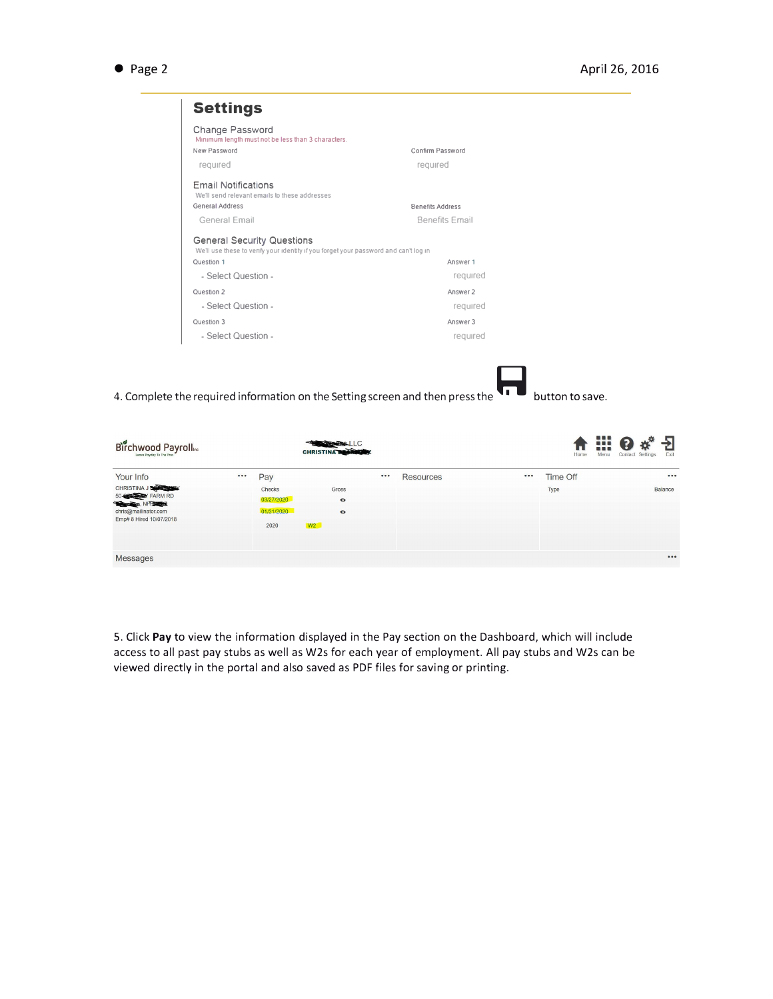• Page 2

| Change Password<br>Minimum length must not be less than 3 characters.                                                     |                         |  |  |  |
|---------------------------------------------------------------------------------------------------------------------------|-------------------------|--|--|--|
| New Password                                                                                                              | Confirm Password        |  |  |  |
| required                                                                                                                  | required                |  |  |  |
| <b>Fmail Notifications</b><br>We'll send relevant emails to these addresses                                               |                         |  |  |  |
| <b>General Address</b>                                                                                                    | <b>Benefits Address</b> |  |  |  |
| General Email                                                                                                             | <b>Benefits Email</b>   |  |  |  |
| <b>General Security Questions</b><br>We'll use these to verify your identity if you forget your password and can't log in |                         |  |  |  |
| Question 1                                                                                                                | Answer 1                |  |  |  |
| - Select Question -                                                                                                       | required                |  |  |  |
| Question 2                                                                                                                | Answer 2                |  |  |  |
| - Select Question -                                                                                                       | required                |  |  |  |
| Question 3                                                                                                                | Answer 3                |  |  |  |
| - Select Question -                                                                                                       | required                |  |  |  |

4. Complete the required information on the Setting screen and then press the  $\bullet\bullet\bullet$  button to save.

| Birchwood Payrolline                                                                                                       |     |                                            | CHRISTINA BEARING                     |     |           |       | Home     | ₩<br>Menu | Exit<br>Contact Settings |
|----------------------------------------------------------------------------------------------------------------------------|-----|--------------------------------------------|---------------------------------------|-----|-----------|-------|----------|-----------|--------------------------|
| Your Info                                                                                                                  | 000 | Pay                                        |                                       | 000 | Resources | • • • | Time Off |           | 0.0.0                    |
| CHRISTINA J DE CHRISTINA<br>50-CONTRARM RD<br><b>STANDARD AND THREE</b><br>chris@mailinator.com<br>Emp# 8 Hired 10/07/2018 |     | Checks<br>03/27/2020<br>01/31/2020<br>2020 | Gross<br>$\bullet$<br>$\bullet$<br>W2 |     |           |       | Type     |           | <b>Balance</b>           |
| Messages                                                                                                                   |     |                                            |                                       |     |           |       |          |           |                          |

S. Click **Pay** to view the information displayed in the Pay section on the Dashboard, which will include access to all past pay stubs as well as W2s for each year of employment. All pay stubs and W2s can be viewed directly in the portal and also saved as PDF files for saving or printing.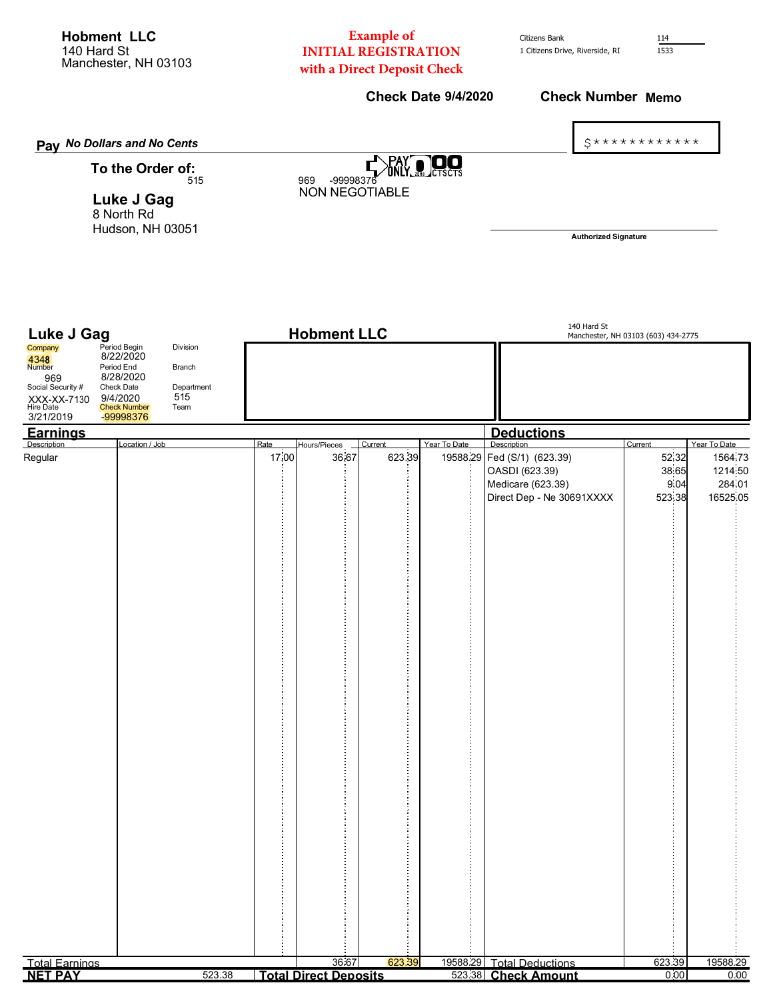**Hobment LLC** 140 Hard St Manchester, NH 03103

## **Example of INITIAL REGISTRATION** with a Direct Deposit Check

**Check Date 9/4/2020** 

Citizens Bank 1 Citizens Drive, Riverside, RI 114  $1533$ 

**Check Number Memo** 

 $5****************$ 

Pay No Dollars and No Cents PAY<br>ONLY **DO**  $\blacksquare$ To the Order of: 969 -99998376 515 **NON NEGOTIABLE Luke J Gag** 8 North Rd Hudson, NH 03051 **Authorized Signature** 140 Hard St **Luke J Gag Hobment LLC** Manchester, NH 03103 (603) 434-2775 Division Company Period Begir  $8/22/2020$ 4348<br>Number Period End Branch 8/28/2020 969 Social Security # Department Check Date  $515$ 9/4/2020 XXX-XX-7130 Hire Date<br>3/21/2019 Check Number<br>-99998376 Team <u>Earnings</u> **Deductions** Location / Job Hours/Pieces Year To Date Curront Year To Date **Turre** 19588.29 52.32 1564.73 Regular 17,00 36.67 623.39 Fed (S/1) (623.39) OASDI (623.39) 38.65 1214.50 Medicare (623.39) 9.04 284.01 Direct Dep - Ne 30691XXXX 523.38 16525.05 .<br>2002 - Para dia mampiasa mandang pangangan ng mga pangangan ng mga mangangan ng mga mangangan na mangangan ng  $\ddot{\cdot}$ **Total Earnings**  $\overline{\mathcal{R}}$  6 19588.29 **Total Deductions** 623.39 19588.29 **NET PAY** 523.38 Total Direct Deposits 523.38 Check Amount  $0.00$  $0.00$